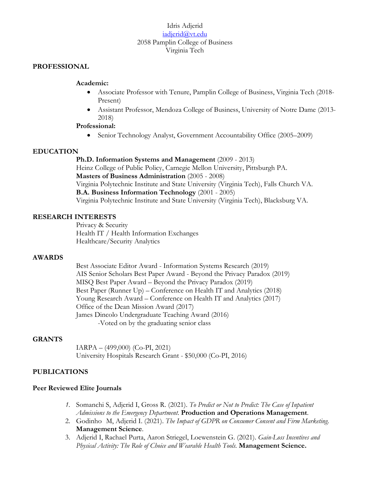## Idris Adjerid [iadjerid@vt.edu](mailto:iadjerid@vt.edu) 2058 Pamplin College of Business Virginia Tech

### **PROFESSIONAL**

### **Academic:**

- Associate Professor with Tenure, Pamplin College of Business, Virginia Tech (2018- Present)
- Assistant Professor, Mendoza College of Business, University of Notre Dame (2013- 2018)

### **Professional:**

• Senior Technology Analyst, Government Accountability Office (2005–2009)

### **EDUCATION**

**Ph.D. Information Systems and Management** (2009 - 2013) Heinz College of Public Policy, Carnegie Mellon University, Pittsburgh PA. **Masters of Business Administration** (2005 - 2008) Virginia Polytechnic Institute and State University (Virginia Tech), Falls Church VA. **B.A. Business Information Technology** (2001 - 2005) Virginia Polytechnic Institute and State University (Virginia Tech), Blacksburg VA.

### **RESEARCH INTERESTS**

Privacy & Security Health IT / Health Information Exchanges Healthcare/Security Analytics

### **AWARDS**

Best Associate Editor Award - Information Systems Research (2019) AIS Senior Scholars Best Paper Award - Beyond the Privacy Paradox (2019) MISQ Best Paper Award – Beyond the Privacy Paradox (2019) Best Paper (Runner Up) – Conference on Health IT and Analytics (2018) Young Research Award – Conference on Health IT and Analytics (2017) Office of the Dean Mission Award (2017) James Dincolo Undergraduate Teaching Award (2016) -Voted on by the graduating senior class

### **GRANTS**

IARPA – (499,000) (Co-PI, 2021) University Hospitals Research Grant - \$50,000 (Co-PI, 2016)

## **PUBLICATIONS**

### **Peer Reviewed Elite Journals**

- *1.* Somanchi S, Adjerid I, Gross R. (2021). *To Predict or Not to Predict: The Case of Inpatient Admissions to the Emergency Department.* **Production and Operations Management**.
- 2. Godinho M, Adjerid I. (2021). *The Impact of GDPR on Consumer Consent and Firm Marketing*. **Management Science**.
- 3. Adjerid I, Rachael Purta, Aaron Striegel, Loewenstein G. (2021). *Gain-Loss Incentives and Physical Activity: The Role of Choice and Wearable Health Tools.* **Management Science.**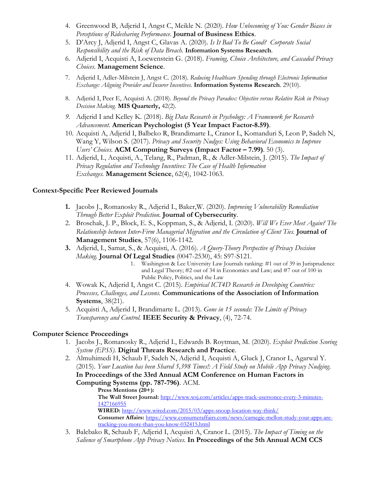- 4. Greenwood B, Adjerid I, Angst C, Meikle N. (2020). *How Unbecoming of You: Gender Biases in Perceptions of Ridesharing Performance*. **Journal of Business Ethics**.
- 5. D'Arcy J, Adjerid I, Angst C, Glavas A. (2020). *Is It Bad To Be Good? Corporate Social Responsibility and the Risk of Data Breach.* **Information Systems Research**.
- 6. Adjerid I, Acquisti A, Loewenstein G. (2018). *Framing, Choice Architecture, and Cascaded Privacy Choices.* **Management Science**.
- 7. Adjerid I, Adler-Milstein J, Angst C. (2018). *Reducing Healthcare Spending through Electronic Information Exchange: Aligning Provider and Insurer Incentives.* **Information Systems Research**. 29(10).
- 8. Adjerid I, Peer E, Acquisti A. (2018). *Beyond the Privacy Paradox: Objective versus Relative Risk in Privacy Decision Making.* **MIS Quarterly,** 42(2).
- *9.* Adjerid I and Kelley K. (2018). *Big Data Research in Psychology: A Framework for Research Advancement.* **American Psychologist (5 Year Impact Factor-8.59)**.
- 10. Acquisti A, Adjerid I, Balbeko R, Brandimarte L, Cranor L, Komanduri S, Leon P, Sadeh N, Wang Y, Wilson S. (2017). *Privacy and Security Nudges: Using Behavioral Economics to Improve Users' Choices.* **ACM Computing Surveys (Impact Factor – 7.99)**. 50 (3).
- 11. Adjerid, I., Acquisti, A., Telang, R., Padman, R., & Adler-Milstein, J. (2015). *The Impact of Privacy Regulation and Technology Incentives: The Case of Health Information Exchanges.* **Management Science**, 62(4), 1042-1063.

## **Context-Specific Peer Reviewed Journals**

- **1.** Jacobs J., Romanosky R., Adjerid I., Baker,W. (2020). *Improving Vulnerability Remediation Through Better Exploit Prediction.* **Journal of Cybersecurity**.
- 2. Broschak, J. P., Block, E. S., Koppman, S., & Adjerid, I. (2020). *Will We Ever Meet Again? The Relationship between Inter‐Firm Managerial Migration and the Circulation of Client Ties.* **Journal of Management Studies**, 57(6), 1106-1142.
- **3.** Adjerid, I., Samat, S., & Acquisti, A. (2016). *A Query-Theory Perspective of Privacy Decision Making.* **Journal Of Legal Studies** (0047-2530), 45: S97-S121.
	- 1. Washington & Lee University Law Journals ranking: #1 out of 39 in Jurisprudence and Legal Theory; #2 out of 34 in Economics and Law; and #7 out of 100 in Public Policy, Politics, and the Law
- 4. Wowak K, Adjerid I, Angst C. (2015). *Empirical ICT4D Research in Developing Countries: Processes, Challenges, and Lessons.* **Communications of the Association of Information Systems**, 38(21).
- 5. Acquisti A, Adjerid I, Brandimarte L. (2013). *Gone in 15 seconds: The Limits of Privacy Transparency and Control.* **IEEE Security & Privacy**, (4), 72-74.

# **Computer Science Proceedings**

- 1. Jacobs J., Romanosky R., Adjerid I., Edwards B. Roytman, M. (2020). *Exploit Prediction Scoring System (EPSS).* **Digital Threats Research and Practice**.
- 2. Almuhimedi H, Schaub F, Sadeh N, Adjerid I, Acquisti A, Gluck J, Cranor L, Agarwal Y. (2015). *Your Location has been Shared 5,398 Times!: A Field Study on Mobile App Privacy Nudging.* **In Proceedings of the 33rd Annual ACM Conference on Human Factors in Computing Systems (pp. 787-796)**. ACM.

**Press Mentions (20+): The Wall Street Journal:** [http://www.wsj.com/articles/apps-track-usersonce-every-3-minutes-](http://www.wsj.com/articles/apps-track-usersonce-every-3-minutes-1427166955)[1427166955](http://www.wsj.com/articles/apps-track-usersonce-every-3-minutes-1427166955) **WIRED:** <http://www.wired.com/2015/03/apps-snoop-location-way-think/> **Consumer Affairs:** [https://www.consumeraffairs.com/news/carnegie-mellon-study-your-apps-are](https://www.consumeraffairs.com/news/carnegie-mellon-study-your-apps-are-tracking-you-more-than-you-know-032415.html)[tracking-you-more-than-you-know-032415.html](https://www.consumeraffairs.com/news/carnegie-mellon-study-your-apps-are-tracking-you-more-than-you-know-032415.html)

3. Balebako R, Schaub F, Adjerid I, Acquisti A, Cranor L. (2015). *The Impact of Timing on the Salience of Smartphone App Privacy Notices.* **In Proceedings of the 5th Annual ACM CCS**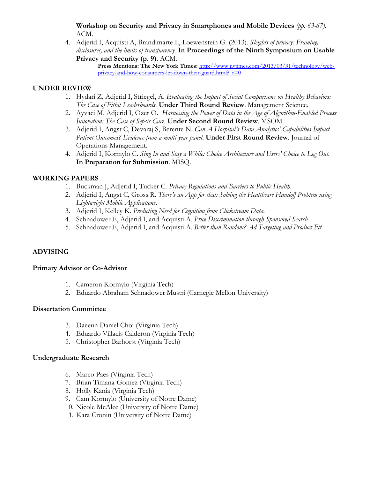**Workshop on Security and Privacy in Smartphones and Mobile Devices** *(pp. 63-67)*. ACM.

4. Adjerid I, Acquisti A, Brandimarte L, Loewenstein G. (2013). *Sleights of privacy: Framing, disclosures, and the limits of transparency.* **In Proceedings of the Ninth Symposium on Usable Privacy and Security (p. 9)**. ACM.

**Press Mentions: The New York Times:** [http://www.nytimes.com/2013/03/31/technology/web](http://www.nytimes.com/2013/03/31/technology/web-privacy-and-how-consumers-let-down-their-guard.html?_r=0)privacy-and-how-consumers-let-down-their-guard.html?  $r=0$ 

## **UNDER REVIEW**

- 1. Hydari Z, Adjerid I, Striegel, A. *Evaluating the Impact of Social Comparisons on Healthy Behaviors: The Case of Fitbit Leaderboards*. **Under Third Round Review**. Management Science.
- 2. Ayvaci M, Adjerid I, Ozer O. *Harnessing the Power of Data in the Age of Algorithm-Enabled Process Innovation: The Case of Sepsis Care.* **Under Second Round Review**. MSOM.
- 3. Adjerid I, Angst C, Devaraj S, Berente N. *Can A Hospital's Data Analytics' Capabilities Impact Patient Outcomes? Evidence from a multi-year panel*. **Under First Round Review**. Journal of Operations Management.
- 4. Adjerid I, Kormylo C. *Sing In and Stay a While: Choice Architecture and Users' Choice to Log Out.* **In Preparation for Submission**. MISQ.

# **WORKING PAPERS**

- 1. Buckman J, Adjerid I, Tucker C. *Privacy Regulations and Barriers to Public Health.*
- 2. Adjerid I, Angst C, Gross R. *There's an App for that: Solving the Healthcare Handoff Problem using Lightweight Mobile Applications*.
- 3. Adjerid I, Kelley K. *Predicting Need for Cognition from Clickstream Data.*
- 4. Schnadower E, Adjerid I, and Acquisti A. *Price Discrimination through Sponsored Search.*
- 5. Schnadower E, Adjerid I, and Acquisti A. *Better than Random? Ad Targeting and Product Fit.*

# **ADVISING**

## **Primary Advisor or Co-Advisor**

- 1. Cameron Kormylo (Virginia Tech)
- 2. Eduardo Abraham Schnadower Mustri (Carnegie Mellon University)

## **Dissertation Committee**

- 3. Daeeun Daniel Choi (Virginia Tech)
- 4. Eduardo Villacis Calderon (Virginia Tech)
- 5. Christopher Barhorst (Virginia Tech)

## **Undergraduate Research**

- 6. Marco Paes (Virginia Tech)
- 7. Brian Timana-Gomez (Virginia Tech)
- 8. Holly Kania (Virginia Tech)
- 9. Cam Kormylo (University of Notre Dame)
- 10. Nicole McAlee (University of Notre Dame)
- 11. Kara Cronin (University of Notre Dame)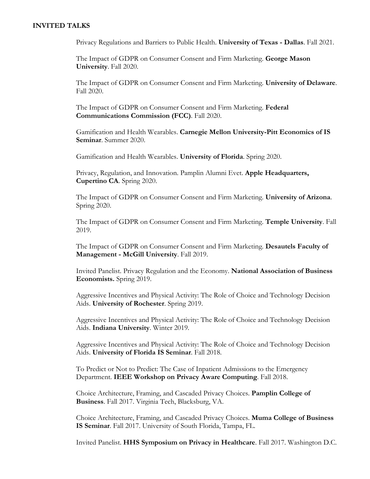### **INVITED TALKS**

Privacy Regulations and Barriers to Public Health. **University of Texas - Dallas**. Fall 2021.

The Impact of GDPR on Consumer Consent and Firm Marketing. **George Mason University**. Fall 2020.

The Impact of GDPR on Consumer Consent and Firm Marketing. **University of Delaware**. Fall 2020.

The Impact of GDPR on Consumer Consent and Firm Marketing. **Federal Communications Commission (FCC)**. Fall 2020.

Gamification and Health Wearables. **Carnegie Mellon University-Pitt Economics of IS Seminar**. Summer 2020.

Gamification and Health Wearables. **University of Florida**. Spring 2020.

Privacy, Regulation, and Innovation. Pamplin Alumni Evet. **Apple Headquarters, Cupertino CA**. Spring 2020.

The Impact of GDPR on Consumer Consent and Firm Marketing. **University of Arizona**. Spring 2020.

The Impact of GDPR on Consumer Consent and Firm Marketing. **Temple University**. Fall 2019.

The Impact of GDPR on Consumer Consent and Firm Marketing. **Desautels Faculty of Management - McGill University**. Fall 2019.

Invited Panelist. Privacy Regulation and the Economy. **National Association of Business Economists.** Spring 2019.

Aggressive Incentives and Physical Activity: The Role of Choice and Technology Decision Aids. **University of Rochester**. Spring 2019.

Aggressive Incentives and Physical Activity: The Role of Choice and Technology Decision Aids. **Indiana University**. Winter 2019.

Aggressive Incentives and Physical Activity: The Role of Choice and Technology Decision Aids. **University of Florida IS Seminar**. Fall 2018.

To Predict or Not to Predict: The Case of Inpatient Admissions to the Emergency Department. **IEEE Workshop on Privacy Aware Computing**. Fall 2018.

Choice Architecture, Framing, and Cascaded Privacy Choices. **Pamplin College of Business**. Fall 2017. Virginia Tech, Blacksburg, VA.

Choice Architecture, Framing, and Cascaded Privacy Choices. **Muma College of Business IS Seminar**. Fall 2017. University of South Florida, Tampa, FL.

Invited Panelist. **HHS Symposium on Privacy in Healthcare**. Fall 2017. Washington D.C.